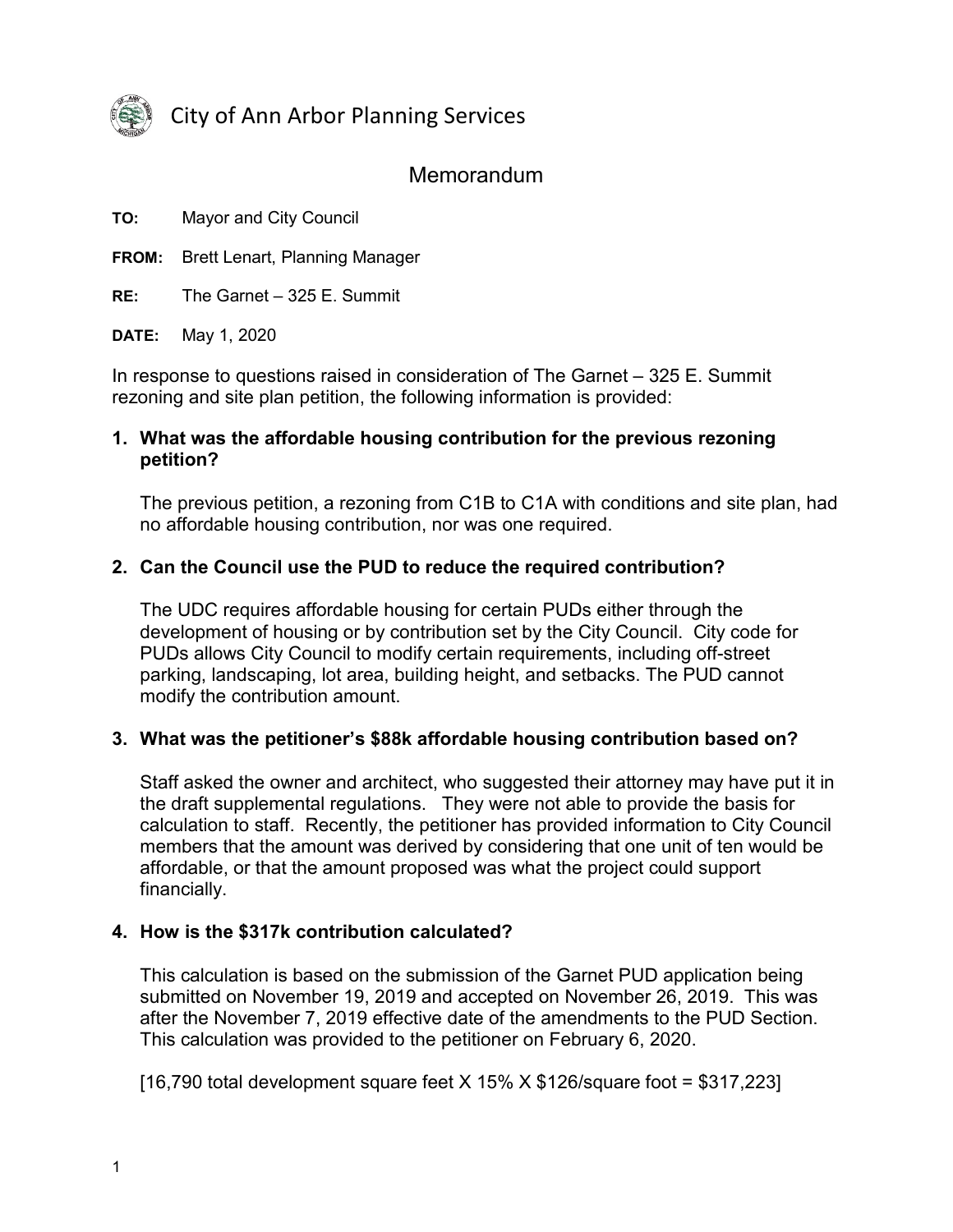

City of Ann Arbor Planning Services

# **Memorandum**

**TO:** Mayor and City Council

**FROM:** Brett Lenart, Planning Manager

**RE:** The Garnet – 325 E. Summit

**DATE:** May 1, 2020

In response to questions raised in consideration of The Garnet – 325 E. Summit rezoning and site plan petition, the following information is provided:

#### **1. What was the affordable housing contribution for the previous rezoning petition?**

The previous petition, a rezoning from C1B to C1A with conditions and site plan, had no affordable housing contribution, nor was one required.

#### **2. Can the Council use the PUD to reduce the required contribution?**

The UDC requires affordable housing for certain PUDs either through the development of housing or by contribution set by the City Council. City code for PUDs allows City Council to modify certain requirements, including off-street parking, landscaping, lot area, building height, and setbacks. The PUD cannot modify the contribution amount.

#### **3. What was the petitioner's \$88k affordable housing contribution based on?**

Staff asked the owner and architect, who suggested their attorney may have put it in the draft supplemental regulations. They were not able to provide the basis for calculation to staff. Recently, the petitioner has provided information to City Council members that the amount was derived by considering that one unit of ten would be affordable, or that the amount proposed was what the project could support financially.

#### **4. How is the \$317k contribution calculated?**

This calculation is based on the submission of the Garnet PUD application being submitted on November 19, 2019 and accepted on November 26, 2019. This was after the November 7, 2019 effective date of the amendments to the PUD Section. This calculation was provided to the petitioner on February 6, 2020.

[16,790 total development square feet  $X$  15%  $X$  \$126/square foot = \$317,223]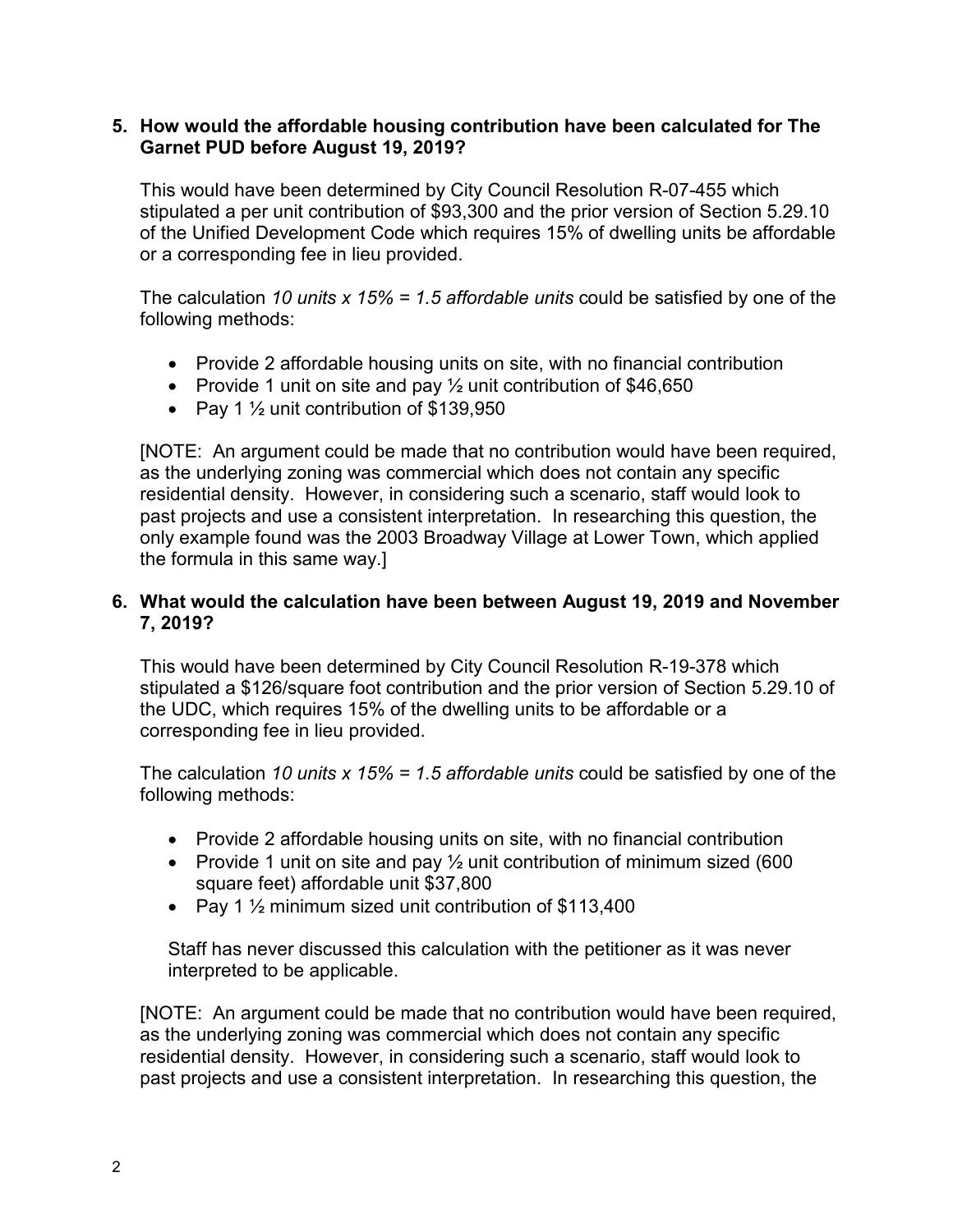#### **5. How would the affordable housing contribution have been calculated for The Garnet PUD before August 19, 2019?**

This would have been determined by City Council Resolution R-07-455 which stipulated a per unit contribution of \$93,300 and the prior version of Section 5.29.10 of the Unified Development Code which requires 15% of dwelling units be affordable or a corresponding fee in lieu provided.

The calculation *10 units x 15% = 1.5 affordable units* could be satisfied by one of the following methods:

- Provide 2 affordable housing units on site, with no financial contribution
- Provide 1 unit on site and pay  $\frac{1}{2}$  unit contribution of \$46,650
- Pay 1  $\frac{1}{2}$  unit contribution of \$139,950

[NOTE: An argument could be made that no contribution would have been required, as the underlying zoning was commercial which does not contain any specific residential density. However, in considering such a scenario, staff would look to past projects and use a consistent interpretation. In researching this question, the only example found was the 2003 Broadway Village at Lower Town, which applied the formula in this same way.]

### **6. What would the calculation have been between August 19, 2019 and November 7, 2019?**

This would have been determined by City Council Resolution R-19-378 which stipulated a \$126/square foot contribution and the prior version of Section 5.29.10 of the UDC, which requires 15% of the dwelling units to be affordable or a corresponding fee in lieu provided.

The calculation *10 units x 15% = 1.5 affordable units* could be satisfied by one of the following methods:

- Provide 2 affordable housing units on site, with no financial contribution
- Provide 1 unit on site and pay  $\frac{1}{2}$  unit contribution of minimum sized (600 square feet) affordable unit \$37,800
- Pay 1 ½ minimum sized unit contribution of \$113,400

Staff has never discussed this calculation with the petitioner as it was never interpreted to be applicable.

[NOTE: An argument could be made that no contribution would have been required, as the underlying zoning was commercial which does not contain any specific residential density. However, in considering such a scenario, staff would look to past projects and use a consistent interpretation. In researching this question, the